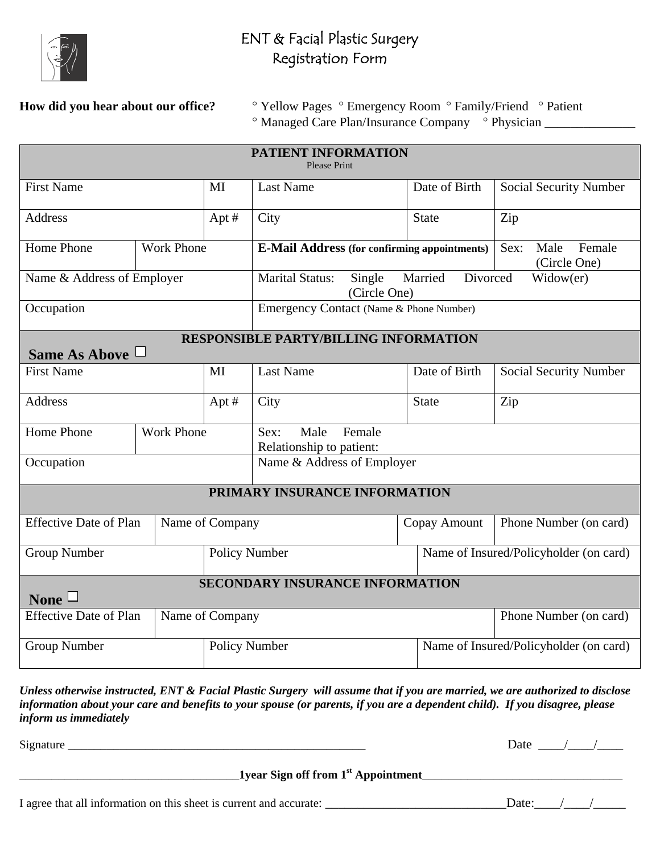

## ENT & Facial Plastic Surgery Registration Form

**How did you hear about our office?** <sup>•</sup> Yellow Pages <sup>•</sup> Emergency Room <sup>•</sup> Family/Friend <sup>•</sup> Patient ° Managed Care Plan/Insurance Company ° Physician \_\_\_\_\_\_\_\_\_\_\_\_\_\_

| <b>PATIENT INFORMATION</b><br><b>Please Print</b>                    |  |                                                                                               |                                                                                      |                                        |                               |
|----------------------------------------------------------------------|--|-----------------------------------------------------------------------------------------------|--------------------------------------------------------------------------------------|----------------------------------------|-------------------------------|
| <b>First Name</b>                                                    |  | MI                                                                                            | <b>Last Name</b>                                                                     | Date of Birth                          | <b>Social Security Number</b> |
| <b>Address</b>                                                       |  | Apt#                                                                                          | City                                                                                 | <b>State</b>                           | Zip                           |
| Home Phone<br><b>Work Phone</b>                                      |  | Male<br>Female<br>Sex:<br><b>E-Mail Address (for confirming appointments)</b><br>(Circle One) |                                                                                      |                                        |                               |
| Name & Address of Employer                                           |  |                                                                                               | <b>Marital Status:</b><br>Divorced<br>Single<br>Married<br>Widow(er)<br>(Circle One) |                                        |                               |
| Occupation                                                           |  |                                                                                               | Emergency Contact (Name & Phone Number)                                              |                                        |                               |
| <b>RESPONSIBLE PARTY/BILLING INFORMATION</b><br>Same As Above $\Box$ |  |                                                                                               |                                                                                      |                                        |                               |
| <b>First Name</b>                                                    |  | MI                                                                                            | <b>Last Name</b>                                                                     | Date of Birth                          | Social Security Number        |
| <b>Address</b>                                                       |  | Apt#                                                                                          | City                                                                                 | <b>State</b>                           | Zip                           |
| Home Phone<br><b>Work Phone</b>                                      |  | Male<br>Female<br>Sex:<br>Relationship to patient:                                            |                                                                                      |                                        |                               |
| Occupation                                                           |  |                                                                                               | Name & Address of Employer                                                           |                                        |                               |
| PRIMARY INSURANCE INFORMATION                                        |  |                                                                                               |                                                                                      |                                        |                               |
| <b>Effective Date of Plan</b>                                        |  | Name of Company                                                                               |                                                                                      | Copay Amount                           | Phone Number (on card)        |
| Group Number                                                         |  | Policy Number                                                                                 |                                                                                      | Name of Insured/Policyholder (on card) |                               |
| <b>SECONDARY INSURANCE INFORMATION</b><br>None $\Box$                |  |                                                                                               |                                                                                      |                                        |                               |
| <b>Effective Date of Plan</b><br>Name of Company                     |  |                                                                                               |                                                                                      |                                        | Phone Number (on card)        |
| <b>Group Number</b>                                                  |  | Policy Number                                                                                 |                                                                                      | Name of Insured/Policyholder (on card) |                               |

*Unless otherwise instructed, ENT & Facial Plastic Surgery will assume that if you are married, we are authorized to disclose information about your care and benefits to your spouse (or parents, if you are a dependent child). If you disagree, please inform us immediately* 

Signature \_\_\_\_\_\_\_\_\_\_\_\_\_\_\_\_\_\_\_\_\_\_\_\_\_\_\_\_\_\_\_\_\_\_\_\_\_\_\_\_\_\_\_\_\_\_ Date \_\_\_\_/\_\_\_\_/\_\_\_\_

\_\_\_\_\_\_\_\_\_\_\_\_\_\_\_\_\_\_\_\_\_\_\_\_\_\_\_\_\_\_\_\_\_\_**1year Sign off from 1st Appointment**\_\_\_\_\_\_\_\_\_\_\_\_\_\_\_\_\_\_\_\_\_\_\_\_\_\_\_\_\_\_\_